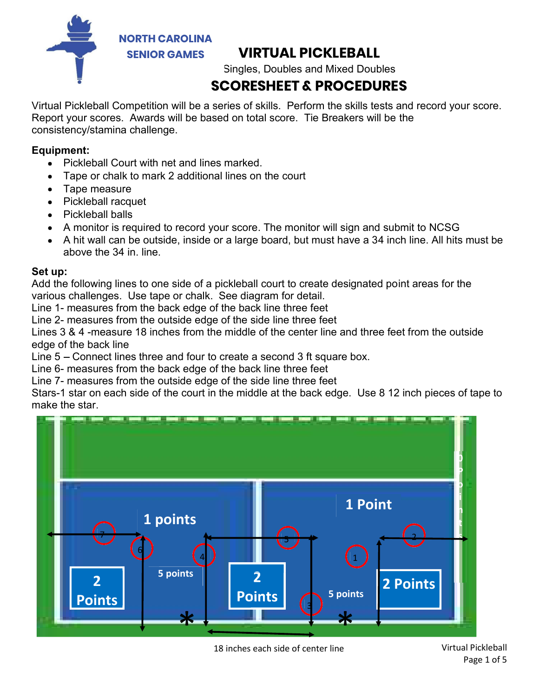

## **SAMES** VIRTUAL PICKLEBALL

Singles, Doubles and Mixed Doubles

## SCORESHEET & PROCEDURES

Virtual Pickleball Competition will be a series of skills. Perform the skills tests and record your score. Report your scores. Awards will be based on total score. Tie Breakers will be the consistency/stamina challenge.

## Equipment:

- Pickleball Court with net and lines marked.
- Tape or chalk to mark 2 additional lines on the court
- Tape measure
- Pickleball racquet
- Pickleball balls
- A monitor is required to record your score. The monitor will sign and submit to NCSG
- A hit wall can be outside, inside or a large board, but must have a 34 inch line. All hits must be above the 34 in. line.

## Set up:

Add the following lines to one side of a pickleball court to create designated point areas for the various challenges. Use tape or chalk. See diagram for detail.

Line 1- measures from the back edge of the back line three feet

Line 2- measures from the outside edge of the side line three feet

Lines 3 & 4 -measure 18 inches from the middle of the center line and three feet from the outside edge of the back line

Line  $5 -$  Connect lines three and four to create a second 3 ft square box.

Line 6- measures from the back edge of the back line three feet

Line 7- measures from the outside edge of the side line three feet

Stars-1 star on each side of the court in the middle at the back edge. Use 8 12 inch pieces of tape to make the star.

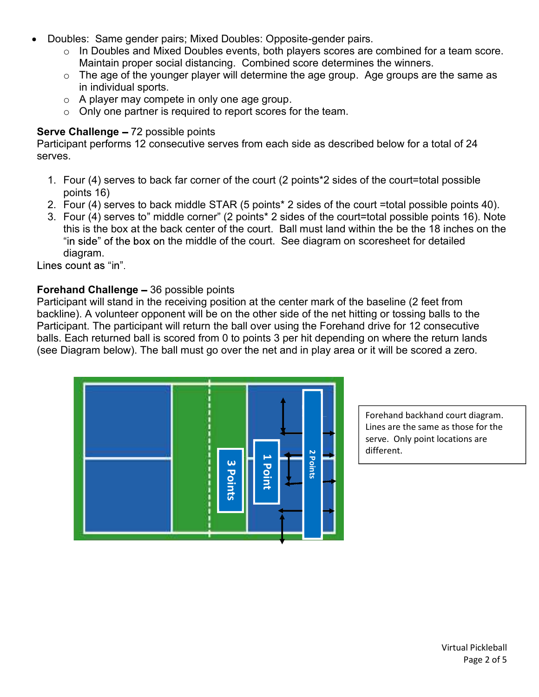- Doubles: Same gender pairs; Mixed Doubles: Opposite-gender pairs.
	- $\circ$  In Doubles and Mixed Doubles events, both players scores are combined for a team score. Maintain proper social distancing. Combined score determines the winners.
	- $\circ$  The age of the younger player will determine the age group. Age groups are the same as in individual sports.
	- o A player may compete in only one age group.
	- o Only one partner is required to report scores for the team.

### Serve Challenge - 72 possible points

Participant performs 12 consecutive serves from each side as described below for a total of 24 serves.

- 1. Four (4) serves to back far corner of the court (2 points\*2 sides of the court=total possible points 16)
- 2. Four (4) serves to back middle STAR (5 points\* 2 sides of the court =total possible points 40).
- Doubles: Same gender pairs; Mixed Doubles: Opposite-gender pairs.<br>  $\circ$  In Doubles and Mixed Doubles events, both players scores are combined for a team score.<br>
Maintain proper social distancing. Combined score determines this is the box at the back center of the court. Ball must land within the be the 18 inches on the "in side" of the box on the middle of the court. See diagram on scoresheet for detailed diagram.

### Forehand Challenge - 36 possible points

Participant will stand in the receiving position at the center mark of the baseline (2 feet from backline). A volunteer opponent will be on the other side of the net hitting or tossing balls to the Participant. The participant will return the ball over using the Forehand drive for 12 consecutive balls. Each returned ball is scored from 0 to points 3 per hit depending on where the return lands (see Diagram below). The ball must go over the net and in play area or it will be scored a zero.



Forehand backhand court diagram. Lines are the same as those for the serve. Only point locations are different.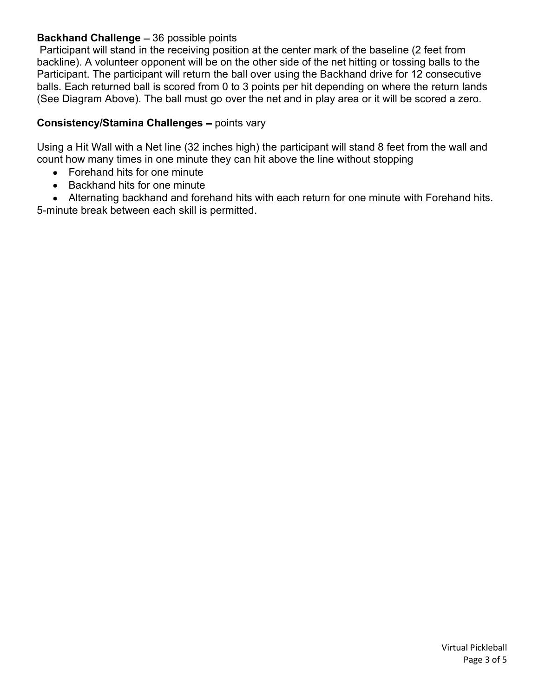## **Backhand Challenge - 36 possible points**

Participant will stand in the receiving position at the center mark of the baseline (2 feet from backline). A volunteer opponent will be on the other side of the net hitting or tossing balls to the Participant. The participant will return the ball over using the Backhand drive for 12 consecutive balls. Each returned ball is scored from 0 to 3 points per hit depending on where the return lands (See Diagram Above). The ball must go over the net and in play area or it will be scored a zero.

## Consistency/Stamina Challenges - points vary

Using a Hit Wall with a Net line (32 inches high) the participant will stand 8 feet from the wall and count how many times in one minute they can hit above the line without stopping

- Forehand hits for one minute
- Backhand hits for one minute
- Alternating backhand and forehand hits with each return for one minute with Forehand hits.

5-minute break between each skill is permitted.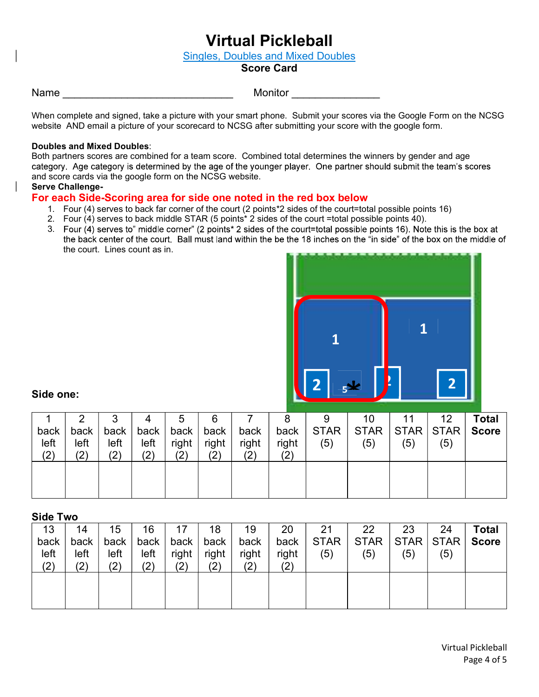## Virtual Pickleball

Singles, Doubles and Mixed Doubles

#### Score Card

Name **Name Name Name Name Nonitor Monitor Monitor Monitor** 

When complete and signed, take a picture with your smart phone. Submit your scores via the Google Form on the NCSG website AND email a picture of your scorecard to NCSG after submitting your score with the google form.

#### Doubles and Mixed Doubles:

Both partners scores are combined for a team score. Combined total determines the winners by gender and age<br>category. Age category is determined by the age of the younger player. One partner should submit the team's scores and score cards via the google form on the NCSG website.

#### Serve Challenge-

#### For each Side-Scoring area for side one noted in the red box below

- 1. Four (4) serves to back far corner of the court (2 points\*2 sides of the court=total possible points 16)
- 2. Four  $(4)$  serves to back middle STAR (5 points<sup>\*</sup> 2 sides of the court =total possible points 40).
- 3. Four (4) serves to" middle corner" (2 points\* 2 sides of the court=total possible points 16). Note this is the box at the back center of the court. Ball must land within the be the 18 inches on the "in side" of the box the court. Lines count as in.



#### Side one:

|      | ⌒    | ື    |      | G         | 6     |       |       | 9           | 10          |             | 12          | <b>Total</b> |
|------|------|------|------|-----------|-------|-------|-------|-------------|-------------|-------------|-------------|--------------|
| back | back | back | back | back      | back  | back  | back  | <b>STAR</b> | <b>STAR</b> | <b>STAR</b> | <b>STAR</b> | <b>Score</b> |
| left | left | left | left | right     | right | right | right | (5)         | (5)         | (5)         | (5)         |              |
| (2)  | (2)  | (2)  | (2)  | ハ<br>ب کی | (2)   | (2)   | (2)   |             |             |             |             |              |
|      |      |      |      |           |       |       |       |             |             |             |             |              |
|      |      |      |      |           |       |       |       |             |             |             |             |              |
|      |      |      |      |           |       |       |       |             |             |             |             |              |

#### Side Two

|                                                                                                  |              | (5) | (5) | (5) | right<br>(2) | right<br>(2) | right<br>(2) | right<br>(2) | left<br>(2) | left<br>(2) | left<br>(2) | left<br>(2)           |
|--------------------------------------------------------------------------------------------------|--------------|-----|-----|-----|--------------|--------------|--------------|--------------|-------------|-------------|-------------|-----------------------|
|                                                                                                  |              |     |     |     |              |              |              |              |             |             |             |                       |
|                                                                                                  |              |     |     |     |              |              |              |              |             |             |             |                       |
| 18<br>20<br>21<br>22<br>23<br>24<br>16<br>17<br>19                                               | <b>Total</b> |     |     |     |              |              |              |              |             | 15          | 14          | <b>Side Two</b><br>13 |
| <b>STAR</b><br><b>STAR</b><br><b>STAR</b><br><b>STAR</b><br>back<br>back<br>back<br>back<br>back | <b>Score</b> |     |     |     |              |              |              |              |             | back        | back        | back                  |
| left<br>right<br>(5)<br>right<br>right<br>right<br>(5)<br>(5)<br>(5)                             |              |     |     |     |              |              |              |              |             | left        | left        | left                  |
| (2)<br>(2)<br>(2)<br>(2)<br>(2)                                                                  |              |     |     |     |              |              |              |              |             | (2)         | (2)         | (2)                   |
|                                                                                                  |              |     |     |     |              |              |              |              |             |             |             |                       |
|                                                                                                  |              |     |     |     |              |              |              |              |             |             |             |                       |